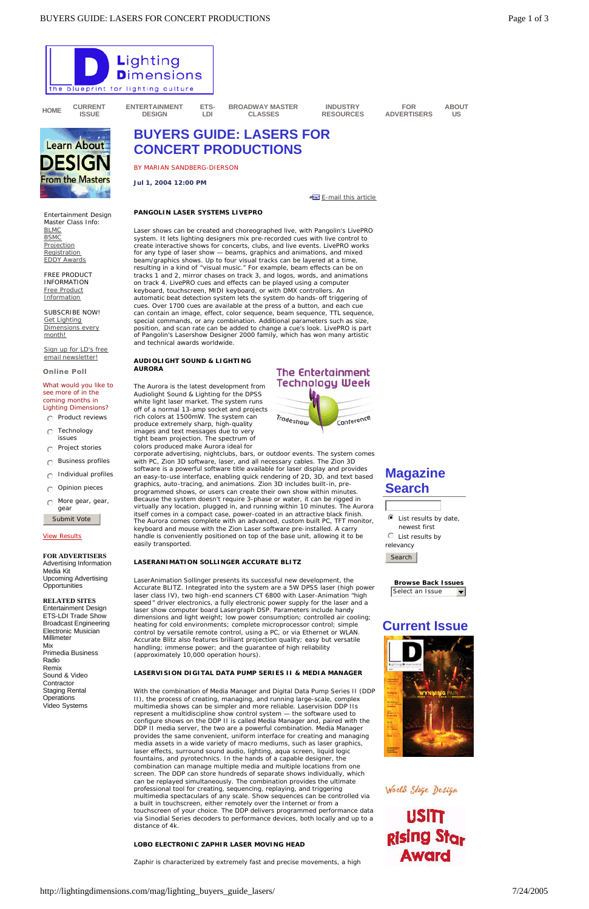- $\odot$  Product reviews
- $\bigcap$  Technology issues
- $\bigcap$  Project stories
- $\bigcap$  Business profiles
- $\cap$  Individual profiles
- $\bigcirc$  Opinion pieces
- $\bigcap$  More gear, gear, gear

**FOR ADVERTISERS** Advertising Information Media Kit Upcoming Advertising **Opportunities** 

#### View Results

Submit Vote

**RELATED SITES**

Entertainment Design ETS-LDI Trade Show Broadcast Engineering Electronic Musician Millimeter Mix Primedia Business Radio



Remix Sound & Video **Contractor** Staging Rental **Operations** Video Systems



rich colors at 1500mW. The system can produce extremely sharp, high-quality images and text messages due to very tight beam projection. The spectrum of colors produced make Aurora ideal for

> **Browse Back Issues** Select an Issue  $\overline{\phantom{m}}$

corporate advertising, nightclubs, bars, or outdoor events. The system comes with PC, Zion 3D software, laser, and all necessary cables. The Zion 3D software is a powerful software title available for laser display and provides an easy-to-use interface, enabling quick rendering of 2D, 3D, and text based graphics, auto-tracing, and animations. Zion 3D includes built-in, preprogrammed shows, or users can create their own show within minutes. Because the system doesn't require 3-phase or water, it can be rigged in virtually any location, plugged in, and running within 10 minutes. The Aurora itself comes in a compact case, power-coated in an attractive black finish. The Aurora comes complete with an advanced, custom built PC, TFT monitor, keyboard and mouse with the Zion Laser software pre-installed. A carry handle is conveniently positioned on top of the base unit, allowing it to be easily transported.

#### **LASERANIMATION SOLLINGER ACCURATE BLITZ**

LaserAnimation Sollinger presents its successful new development, the Accurate BLITZ. Integrated into the system are a 5W DPSS laser (high power laser class IV), two high-end scanners CT 6800 with Laser-Animation "high speed" driver electronics, a fully electronic power supply for the laser and a laser show computer board Lasergraph DSP. Parameters include handy dimensions and light weight; low power consumption; controlled air cooling; heating for cold environments; complete microprocessor control; simple control by versatile remote control, using a PC, or via Ethernet or WLAN. Accurate Blitz also features brilliant projection quality; easy but versatile handling; immense power; and the guarantee of high reliability (approximately 10,000 operation hours).

#### **LASERVISION DIGITAL DATA PUMP SERIES II & MEDIA MANAGER**

With the combination of Media Manager and Digital Data Pump Series II (DDP II), the process of creating, managing, and running large-scale, complex multimedia shows can be simpler and more reliable. Laservision DDP IIs represent a multidiscipline show control system — the software used to configure shows on the DDP II is called Media Manager and, paired with the DDP II media server, the two are a powerful combination. Media Manager provides the same convenient, uniform interface for creating and managing media assets in a wide variety of macro mediums, such as laser graphics, laser effects, surround sound audio, lighting, aqua screen, liquid logic fountains, and pyrotechnics. In the hands of a capable designer, the combination can manage multiple media and multiple locations from one screen. The DDP can store hundreds of separate shows individually, which can be replayed simultaneously. The combination provides the ultimate professional tool for creating, sequencing, replaying, and triggering multimedia spectaculars of any scale. Show sequences can be controlled via a built in touchscreen, either remotely over the Internet or from a touchscreen of your choice. The DDP delivers programmed performance data via Sinodial Series decoders to performance devices, both locally and up to a distance of 4k.

#### **LOBO ELECTRONIC ZAPHIR LASER MOVING HEAD**

Zaphir is characterized by extremely fast and precise movements, a high

### World Stage Design

**USITT** Rising Star **Award** 

## **Magazine Search**



 $\bullet$  List results by date, newest first  $\odot$  List results by

relevancy



# **Current Issue**



http://lightingdimensions.com/mag/lighting\_buyers\_guide\_lasers/ 7/24/2005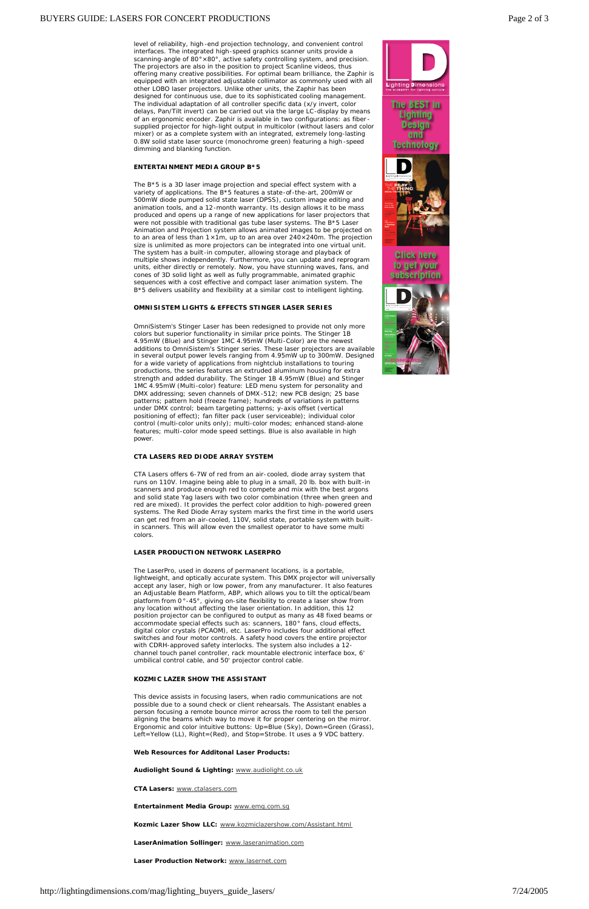level of reliability, high -end projection technology, and convenient control interfaces. The integrated high-speed graphics scanner units provide a scanning-angle of 80°×80°, active safety controlling system, and precision. The projectors are also in the position to project Scanline videos, thus offering many creative possibilities. For optimal beam brilliance, the Zaphir is equipped with an integrated adjustable collimator as commonly used with all other LOBO laser projectors. Unlike other units, the Zaphir has been designed for continuous use, due to its sophisticated cooling management. The individual adaptation of all controller specific data (x/y invert, color delays, Pan/Tilt invert) can be carried out via the large LC-display by means of an ergonomic encoder. Zaphir is available in two configurations: as fiber supplied projector for high-light output in multicolor (without lasers and color mixer) or as a complete system with an integrated, extremely long-lasting 0.8W solid state laser source (monochrome green) featuring a high -speed dimming and blanking function.

#### **ENTERTAINMENT MEDIA GROUP B\*5**

The B\*5 is a 3D laser image projection and special effect system with a variety of applications. The B\*5 features a state-of-the-art, 200mW or 500mW diode pumped solid state laser (DPSS), custom image editing and animation tools, and a 12-month warranty. Its design allows it to be mass produced and opens up a range of new applications for laser projectors that were not possible with traditional gas tube laser systems. The B\*5 Laser Animation and Projection system allows animated images to be projected on to an area of less than  $1 \times 1$ m, up to an area over  $240 \times 240$ m. The projection size is unlimited as more projectors can be integrated into one virtual unit. The system has a built-in computer, allowing storage and playback of multiple shows independently. Furthermore, you can update and reprogram units, either directly or remotely. Now, you have stunning waves, fans, and cones of 3D solid light as well as fully programmable, animated graphic sequences with a cost effective and compact laser animation system. The B\*5 delivers usability and flexibility at a similar cost to intelligent lighting.

#### **OMNISISTEM LIGHTS & EFFECTS STINGER LASER SERIES**

OmniSistem's Stinger Laser has been redesigned to provide not only more colors but superior functionality in similar price points. The Stinger 1B 4.95mW (Blue) and Stinger 1MC 4.95mW (Multi-Color) are the newest additions to OmniSistem's Stinger series. These laser projectors are available in several output power levels ranging from 4.95mW up to 300mW. Designed for a wide variety of applications from nightclub installations to touring productions, the series features an extruded aluminum housing for extra strength and added durability. The Stinger 1B 4.95mW (Blue) and Stinger 1MC 4.95mW (Multi-color) feature: LED menu system for personality and DMX addressing; seven channels of DMX -512; new PCB design; 25 base patterns; pattern hold (freeze frame); hundreds of variations in patterns under DMX control; beam targeting patterns; y-axis offset (vertical positioning of effect); fan filter pack (user serviceable); individual color control (multi-color units only); multi-color modes; enhanced stand-alone features; multi-color mode speed settings. Blue is also available in high power.

#### **CTA LASERS RED DIODE ARRAY SYSTEM**

CTA Lasers offers 6-7W of red from an air-cooled, diode array system that runs on 110V. Imagine being able to plug in a small, 20 lb. box with built-in scanners and produce enough red to compete and mix with the best argons and solid state Yag lasers with two color combination (three when green and red are mixed). It provides the perfect color addition to high-powered green systems. The Red Diode Array system marks the first time in the world users can get red from an air-cooled, 110V, solid state, portable system with builtin scanners. This will allow even the smallest operator to have some multi colors.

#### **LASER PRODUCTION NETWORK LASERPRO**

The LaserPro, used in dozens of permanent locations, is a portable, lightweight, and optically accurate system. This DMX projector will universally accept any laser, high or low power, from any manufacturer. It also features an Adjustable Beam Platform, ABP, which allows you to tilt the optical/beam platform from 0 °-45°, giving on-site flexibility to create a laser show from any location without affecting the laser orientation. In addition, this 12 position projector can be configured to output as many as 48 fixed beams or accommodate special effects such as: scanners, 180° fans, cloud effects, digital color crystals (PCAOM), etc. LaserPro includes four additional effect switches and four motor controls. A safety hood covers the entire projector with CDRH-approved safety interlocks. The system also includes a 12 channel touch panel controller, rack mountable electronic interface box, 6' umbilical control cable, and 50' projector control cable.



#### **KOZMIC LAZER SHOW THE ASSISTANT**

This device assists in focusing lasers, when radio communications are not possible due to a sound check or client rehearsals. The Assistant enables a person focusing a remote bounce mirror across the room to tell the person aligning the beams which way to move it for proper centering on the mirror. Ergonomic and color intuitive buttons: Up=Blue (Sky), Down=Green (Grass), Left=Yellow (LL), Right=(Red), and Stop=Strobe. It uses a 9 VDC battery.

#### **Web Resources for Additonal Laser Products:**

**Audiolight Sound & Lighting:** www.audiolight.co.uk

**CTA Lasers:** www.ctalasers.com

**Entertainment Media Group:** www.emg.com.sg

**Kozmic Lazer Show LLC:** www.kozmiclazershow.com/Assistant.html

**LaserAnimation Sollinger:** www.laseranimation.com

**Laser Production Network:** www.lasernet.com

http://lightingdimensions.com/mag/lighting\_buyers\_guide\_lasers/ 7/24/2005